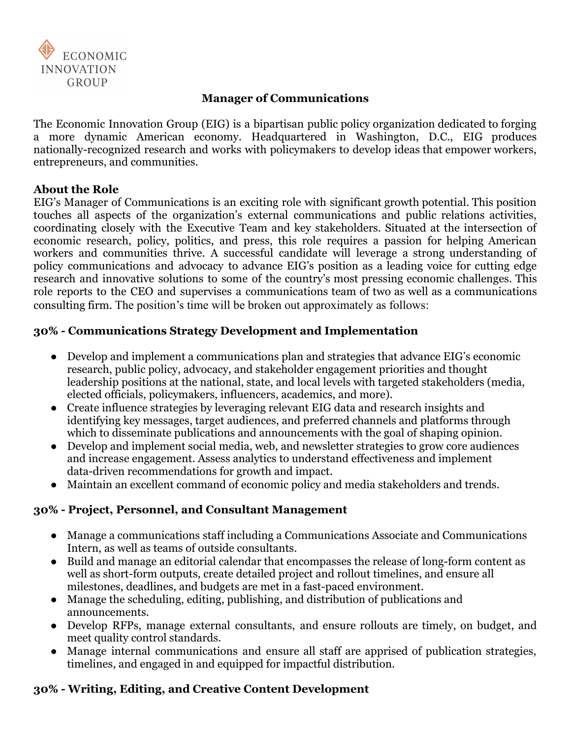

## **Manager of Communications**

The Economic Innovation Group (EIG) is a bipartisan public policy organization dedicated to forging a more dynamic American economy. Headquartered in Washington, D.C., EIG produces nationally-recognized research and works with policymakers to develop ideas that empower workers, entrepreneurs, and communities.

## **About the Role**

EIG's Manager of Communications is an exciting role with significant growth potential. This position touches all aspects of the organization's external communications and public relations activities, coordinating closely with the Executive Team and key stakeholders. Situated at the intersection of economic research, policy, politics, and press, this role requires a passion for helping American workers and communities thrive. A successful candidate will leverage a strong understanding of policy communications and advocacy to advance EIG's position as a leading voice for cutting edge research and innovative solutions to some of the country's most pressing economic challenges. This role reports to the CEO and supervises a communications team of two as well as a communications consulting firm. The position's time will be broken out approximately as follows:

# **30% - Communications Strategy Development and Implementation**

- Develop and implement a communications plan and strategies that advance EIG's economic research, public policy, advocacy, and stakeholder engagement priorities and thought leadership positions at the national, state, and local levels with targeted stakeholders (media, elected officials, policymakers, influencers, academics, and more).
- Create influence strategies by leveraging relevant EIG data and research insights and identifying key messages, target audiences, and preferred channels and platforms through which to disseminate publications and announcements with the goal of shaping opinion.
- Develop and implement social media, web, and newsletter strategies to grow core audiences and increase engagement. Assess analytics to understand effectiveness and implement data-driven recommendations for growth and impact.
- Maintain an excellent command of economic policy and media stakeholders and trends.

# **30% - Project, Personnel, and Consultant Management**

- Manage a communications staff including a Communications Associate and Communications Intern, as well as teams of outside consultants.
- Build and manage an editorial calendar that encompasses the release of long-form content as well as short-form outputs, create detailed project and rollout timelines, and ensure all milestones, deadlines, and budgets are met in a fast-paced environment.
- Manage the scheduling, editing, publishing, and distribution of publications and announcements.
- Develop RFPs, manage external consultants, and ensure rollouts are timely, on budget, and meet quality control standards.
- Manage internal communications and ensure all staff are apprised of publication strategies, timelines, and engaged in and equipped for impactful distribution.

# **30% - Writing, Editing, and Creative Content Development**